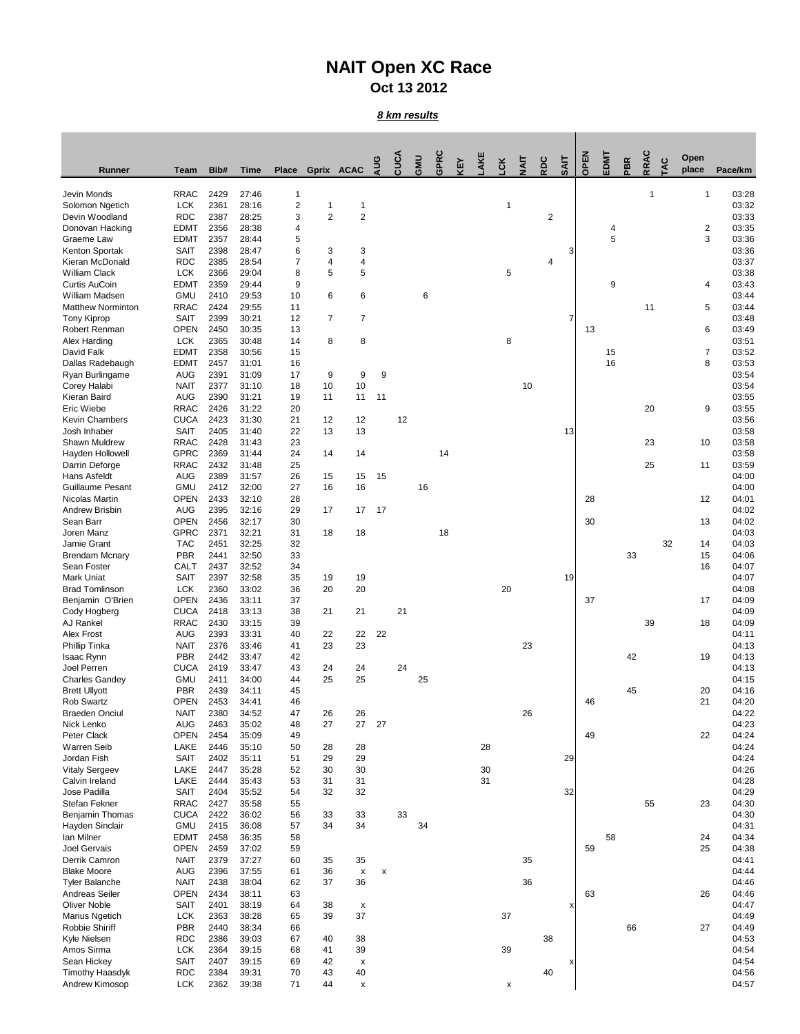## **NAIT Open XC Race Oct 13 2012**

*8 km results*

| <b>Runner</b>                           | <b>Team</b>                | Bib#         | <b>Time</b>    | <b>Place</b>            | Gprix ACAC     |                                 | AUG | CUCA | <b>UMP</b> | <b>GPRC</b> | ξ | AKE | š  | ₹  | SOS            | <b>SAIT</b>    | OPEN | EDMT   | <b>PBR</b> | RRAC | Q  | Open<br>place  | Pace/km        |
|-----------------------------------------|----------------------------|--------------|----------------|-------------------------|----------------|---------------------------------|-----|------|------------|-------------|---|-----|----|----|----------------|----------------|------|--------|------------|------|----|----------------|----------------|
| Jevin Monds                             | <b>RRAC</b>                | 2429         | 27:46          | 1                       |                |                                 |     |      |            |             |   |     |    |    |                |                |      |        |            | 1    |    | 1              | 03:28          |
| Solomon Ngetich                         | <b>LCK</b>                 | 2361         | 28:16          | $\overline{\mathbf{c}}$ |                | 1                               |     |      |            |             |   |     |    |    |                |                |      |        |            |      |    |                | 03:32          |
| Devin Woodland<br>Donovan Hacking       | <b>RDC</b><br><b>EDMT</b>  | 2387<br>2356 | 28:25<br>28:38 | 3<br>4                  | $\overline{2}$ | $\overline{2}$                  |     |      |            |             |   |     |    |    | $\overline{2}$ |                |      |        |            |      |    | 2              | 03:33<br>03:35 |
| Graeme Law                              | <b>EDMT</b>                | 2357         | 28:44          | 5                       |                |                                 |     |      |            |             |   |     |    |    |                |                |      | 4<br>5 |            |      |    | 3              | 03:36          |
| Kenton Sportak                          | <b>SAIT</b>                | 2398         | 28:47          | 6                       | 3              | 3                               |     |      |            |             |   |     |    |    |                | 3              |      |        |            |      |    |                | 03:36          |
| Kieran McDonald                         | <b>RDC</b>                 | 2385         | 28:54          |                         | 4              | 4                               |     |      |            |             |   |     |    |    | 4              |                |      |        |            |      |    |                | 03:37          |
| <b>William Clack</b>                    | <b>LCK</b>                 | 2366         | 29:04          | 8                       | 5              | 5                               |     |      |            |             |   |     | 5  |    |                |                |      |        |            |      |    |                | 03:38          |
| <b>Curtis AuCoin</b><br>William Madsen  | <b>EDMT</b><br><b>GMU</b>  | 2359<br>2410 | 29:44<br>29:53 | 9<br>10                 | 6              | $\,6$                           |     |      | 6          |             |   |     |    |    |                |                |      | 9      |            |      |    | 4              | 03:43<br>03:44 |
| <b>Matthew Norminton</b>                | <b>RRAC</b>                | 2424         | 29:55          | 11                      |                |                                 |     |      |            |             |   |     |    |    |                |                |      |        |            | 11   |    | 5              | 03:44          |
| <b>Tony Kiprop</b>                      | <b>SAIT</b>                | 2399         | 30:21          | 12                      | $\overline{7}$ | $\overline{7}$                  |     |      |            |             |   |     |    |    |                | $\overline{7}$ |      |        |            |      |    |                | 03:48          |
| Robert Renman                           | <b>OPEN</b>                | 2450         | 30:35          | 13                      |                |                                 |     |      |            |             |   |     |    |    |                |                | 13   |        |            |      |    | 6              | 03:49          |
| Alex Harding<br>David Falk              | <b>LCK</b><br><b>EDMT</b>  | 2365<br>2358 | 30:48<br>30:56 | 14<br>15                | 8              | 8                               |     |      |            |             |   |     | 8  |    |                |                |      | 15     |            |      |    | $\overline{7}$ | 03:51<br>03:52 |
| Dallas Radebaugh                        | <b>EDMT</b>                | 2457         | 31:01          | 16                      |                |                                 |     |      |            |             |   |     |    |    |                |                |      | 16     |            |      |    | 8              | 03:53          |
| Ryan Burlingame                         | <b>AUG</b>                 | 2391         | 31:09          | 17                      | 9              | 9                               | 9   |      |            |             |   |     |    |    |                |                |      |        |            |      |    |                | 03:54          |
| Corey Halabi                            | <b>NAIT</b>                | 2377         | 31:10          | 18                      | 10             | 10                              |     |      |            |             |   |     |    | 10 |                |                |      |        |            |      |    |                | 03:54          |
| Kieran Baird                            | AUG                        | 2390         | 31:21          | 19                      | 11             | 11                              | 11  |      |            |             |   |     |    |    |                |                |      |        |            |      |    |                | 03:55          |
| Eric Wiebe<br><b>Kevin Chambers</b>     | <b>RRAC</b><br><b>CUCA</b> | 2426<br>2423 | 31:22<br>31:30 | 20<br>21                | 12             | 12                              |     | 12   |            |             |   |     |    |    |                |                |      |        |            | 20   |    | 9              | 03:55<br>03:56 |
| Josh Inhaber                            | <b>SAIT</b>                | 2405         | 31:40          | 22                      | 13             | 13                              |     |      |            |             |   |     |    |    |                | 13             |      |        |            |      |    |                | 03:58          |
| Shawn Muldrew                           | <b>RRAC</b>                | 2428         | 31:43          | 23                      |                |                                 |     |      |            |             |   |     |    |    |                |                |      |        |            | 23   |    | 10             | 03:58          |
| Hayden Hollowell                        | <b>GPRC</b>                | 2369         | 31:44          | 24                      | 14             | 14                              |     |      |            | 14          |   |     |    |    |                |                |      |        |            |      |    |                | 03:58          |
| Darrin Deforge                          | <b>RRAC</b>                | 2432         | 31:48          | 25                      |                |                                 |     |      |            |             |   |     |    |    |                |                |      |        |            | 25   |    | 11             | 03:59          |
| Hans Asfeldt<br><b>Guillaume Pesant</b> | <b>AUG</b><br><b>GMU</b>   | 2389<br>2412 | 31:57<br>32:00 | 26<br>27                | 15<br>16       | 15<br>16                        | 15  |      | 16         |             |   |     |    |    |                |                |      |        |            |      |    |                | 04:00<br>04:00 |
| Nicolas Martin                          | <b>OPEN</b>                | 2433         | 32:10          | 28                      |                |                                 |     |      |            |             |   |     |    |    |                |                | 28   |        |            |      |    | 12             | 04:01          |
| <b>Andrew Brisbin</b>                   | <b>AUG</b>                 | 2395         | 32:16          | 29                      | 17             | 17                              | 17  |      |            |             |   |     |    |    |                |                |      |        |            |      |    |                | 04:02          |
| Sean Barr                               | <b>OPEN</b>                | 2456         | 32:17          | 30                      |                |                                 |     |      |            |             |   |     |    |    |                |                | 30   |        |            |      |    | 13             | 04:02          |
| Joren Manz<br>Jamie Grant               | <b>GPRC</b>                | 2371         | 32:21          | 31                      | 18             | 18                              |     |      |            | 18          |   |     |    |    |                |                |      |        |            |      |    |                | 04:03          |
| <b>Brendam Mcnary</b>                   | <b>TAC</b><br><b>PBR</b>   | 2451<br>2441 | 32:25<br>32:50 | 32<br>33                |                |                                 |     |      |            |             |   |     |    |    |                |                |      |        | 33         |      | 32 | 14<br>15       | 04:03<br>04:06 |
| Sean Foster                             | CALT                       | 2437         | 32:52          | 34                      |                |                                 |     |      |            |             |   |     |    |    |                |                |      |        |            |      |    | 16             | 04:07          |
| <b>Mark Uniat</b>                       | <b>SAIT</b>                | 2397         | 32:58          | 35                      | 19             | 19                              |     |      |            |             |   |     |    |    |                | 19             |      |        |            |      |    |                | 04:07          |
| <b>Brad Tomlinson</b>                   | <b>LCK</b>                 | 2360         | 33:02          | 36                      | 20             | 20                              |     |      |            |             |   |     | 20 |    |                |                |      |        |            |      |    |                | 04:08          |
| Benjamin O'Brien<br>Cody Hogberg        | <b>OPEN</b><br><b>CUCA</b> | 2436<br>2418 | 33:11<br>33:13 | 37<br>38                | 21             | 21                              |     | 21   |            |             |   |     |    |    |                |                | 37   |        |            |      |    | 17             | 04:09<br>04:09 |
| AJ Rankel                               | <b>RRAC</b>                | 2430         | 33:15          | 39                      |                |                                 |     |      |            |             |   |     |    |    |                |                |      |        |            | 39   |    | 18             | 04:09          |
| <b>Alex Frost</b>                       | <b>AUG</b>                 | 2393         | 33:31          | 40                      | 22             | 22                              | 22  |      |            |             |   |     |    |    |                |                |      |        |            |      |    |                | 04:11          |
| Phillip Tinka                           | <b>NAIT</b>                | 2376         | 33:46          | 41                      | 23             | 23                              |     |      |            |             |   |     |    | 23 |                |                |      |        |            |      |    |                | 04:13          |
| Isaac Rynn                              | <b>PBR</b>                 | 2442         | 33:47          | 42                      |                |                                 |     |      |            |             |   |     |    |    |                |                |      |        | 42         |      |    | 19             | 04:13          |
| Joel Perren<br><b>Charles Gandey</b>    | <b>CUCA</b><br><b>GMU</b>  | 2419<br>2411 | 33:47<br>34:00 | 43<br>44                | 24<br>25       | 24<br>25                        |     | 24   | 25         |             |   |     |    |    |                |                |      |        |            |      |    |                | 04:13<br>04:15 |
| <b>Brett Ullyott</b>                    | <b>PBR</b>                 | 2439         | 34:11          | 45                      |                |                                 |     |      |            |             |   |     |    |    |                |                |      |        | 45         |      |    | 20             | 04:16          |
| Rob Swartz                              | <b>OPEN</b>                | 2453         | 34:41          | 46                      |                |                                 |     |      |            |             |   |     |    |    |                |                | 46   |        |            |      |    | 21             | 04:20          |
| <b>Braeden Onciul</b>                   | <b>NAIT</b>                | 2380         | 34:52          | 47                      | 26             | 26                              |     |      |            |             |   |     |    | 26 |                |                |      |        |            |      |    |                | 04:22          |
| Nick Lenko<br>Peter Clack               | <b>AUG</b><br><b>OPEN</b>  | 2463<br>2454 | 35:02<br>35:09 | 48<br>49                | 27             | 27                              | 27  |      |            |             |   |     |    |    |                |                | 49   |        |            |      |    | 22             | 04:23<br>04:24 |
| <b>Warren Seib</b>                      | LAKE                       | 2446         | 35:10          | 50                      | 28             | 28                              |     |      |            |             |   | 28  |    |    |                |                |      |        |            |      |    |                | 04:24          |
| Jordan Fish                             | <b>SAIT</b>                | 2402         | 35:11          | 51                      | 29             | 29                              |     |      |            |             |   |     |    |    |                | 29             |      |        |            |      |    |                | 04:24          |
| <b>Vitaly Sergeev</b>                   | <b>LAKE</b>                | 2447         | 35:28          | 52                      | 30             | 30                              |     |      |            |             |   | 30  |    |    |                |                |      |        |            |      |    |                | 04:26          |
| Calvin Ireland                          | <b>LAKE</b>                | 2444         | 35:43          | 53                      | 31             | 31                              |     |      |            |             |   | 31  |    |    |                |                |      |        |            |      |    |                | 04:28          |
| Jose Padilla<br>Stefan Fekner           | <b>SAIT</b><br><b>RRAC</b> | 2404<br>2427 | 35:52<br>35:58 | 54<br>55                | 32             | 32                              |     |      |            |             |   |     |    |    |                | 32             |      |        |            | 55   |    | 23             | 04:29<br>04:30 |
| Benjamin Thomas                         | <b>CUCA</b>                | 2422         | 36:02          | 56                      | 33             | 33                              |     | 33   |            |             |   |     |    |    |                |                |      |        |            |      |    |                | 04:30          |
| Hayden Sinclair                         | <b>GMU</b>                 | 2415         | 36:08          | 57                      | 34             | 34                              |     |      | 34         |             |   |     |    |    |                |                |      |        |            |      |    |                | 04:31          |
| lan Milner                              | <b>EDMT</b>                | 2458         | 36:35          | 58                      |                |                                 |     |      |            |             |   |     |    |    |                |                |      | 58     |            |      |    | 24             | 04:34          |
| Joel Gervais                            | <b>OPEN</b>                | 2459         | 37:02          | 59                      |                |                                 |     |      |            |             |   |     |    |    |                |                | 59   |        |            |      |    | 25             | 04:38          |
| Derrik Camron<br><b>Blake Moore</b>     | <b>NAIT</b><br><b>AUG</b>  | 2379<br>2396 | 37:27<br>37:55 | 60<br>61                | 35<br>36       | 35<br>$\boldsymbol{\mathsf{x}}$ | X   |      |            |             |   |     |    | 35 |                |                |      |        |            |      |    |                | 04:41<br>04:44 |
| <b>Tyler Balanche</b>                   | <b>NAIT</b>                | 2438         | 38:04          | 62                      | 37             | 36                              |     |      |            |             |   |     |    | 36 |                |                |      |        |            |      |    |                | 04:46          |
| Andreas Seiler                          | <b>OPEN</b>                | 2434         | 38:11          | 63                      |                |                                 |     |      |            |             |   |     |    |    |                |                | 63   |        |            |      |    | 26             | 04:46          |
| <b>Oliver Noble</b>                     | <b>SAIT</b>                | 2401         | 38:19          | 64                      | 38             | X                               |     |      |            |             |   |     |    |    |                | X              |      |        |            |      |    |                | 04:47          |
| <b>Marius Ngetich</b><br>Robbie Shiriff | <b>LCK</b><br><b>PBR</b>   | 2363         | 38:28          | 65                      | 39             | 37                              |     |      |            |             |   |     | 37 |    |                |                |      |        | 66         |      |    | 27             | 04:49          |
| Kyle Nielsen                            | <b>RDC</b>                 | 2440<br>2386 | 38:34<br>39:03 | 66<br>67                | 40             | 38                              |     |      |            |             |   |     |    |    | 38             |                |      |        |            |      |    |                | 04:49<br>04:53 |
| Amos Sirma                              | <b>LCK</b>                 | 2364         | 39:15          | 68                      | 41             | 39                              |     |      |            |             |   |     | 39 |    |                |                |      |        |            |      |    |                | 04:54          |
| Sean Hickey                             | <b>SAIT</b>                | 2407         | 39:15          | 69                      | 42             | X                               |     |      |            |             |   |     |    |    |                | х              |      |        |            |      |    |                | 04:54          |
| <b>Timothy Haasdyk</b>                  | <b>RDC</b>                 | 2384         | 39:31          | 70                      | 43             | 40                              |     |      |            |             |   |     |    |    | 40             |                |      |        |            |      |    |                | 04:56          |
| Andrew Kimosop                          | <b>LCK</b>                 | 2362         | 39:38          | 71                      | 44             | X                               |     |      |            |             |   |     | X  |    |                |                |      |        |            |      |    |                | 04:57          |